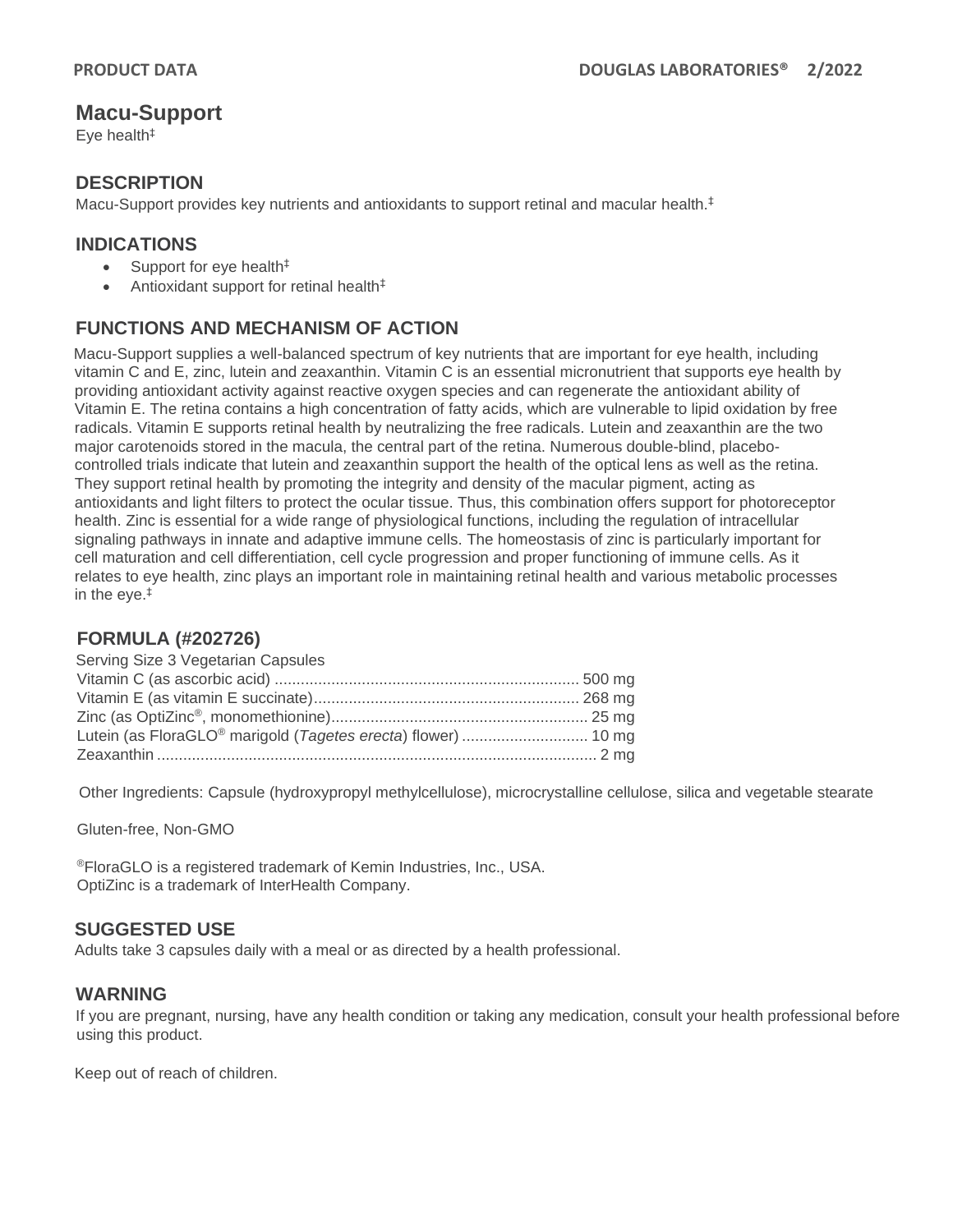# **Macu-Support**

Eye health‡

#### **DESCRIPTION**

Macu-Support provides key nutrients and antioxidants to support retinal and macular health.<sup>‡</sup>

### **INDICATIONS**

- Support for eye health<sup>‡</sup>
- Antioxidant support for retinal health $<sup>‡</sup>$ </sup>

## **FUNCTIONS AND MECHANISM OF ACTION**

Macu-Support supplies a well-balanced spectrum of key nutrients that are important for eye health, including vitamin C and E, zinc, lutein and zeaxanthin. Vitamin C is an essential micronutrient that supports eye health by providing antioxidant activity against reactive oxygen species and can regenerate the antioxidant ability of Vitamin E. The retina contains a high concentration of fatty acids, which are vulnerable to lipid oxidation by free radicals. Vitamin E supports retinal health by neutralizing the free radicals. Lutein and zeaxanthin are the two major carotenoids stored in the macula, the central part of the retina. Numerous double-blind, placebocontrolled trials indicate that lutein and zeaxanthin support the health of the optical lens as well as the retina. They support retinal health by promoting the integrity and density of the macular pigment, acting as antioxidants and light filters to protect the ocular tissue. Thus, this combination offers support for photoreceptor health. Zinc is essential for a wide range of physiological functions, including the regulation of intracellular signaling pathways in innate and adaptive immune cells. The homeostasis of zinc is particularly important for cell maturation and cell differentiation, cell cycle progression and proper functioning of immune cells. As it relates to eye health, zinc plays an important role in maintaining retinal health and various metabolic processes in the eye.‡

#### **FORMULA (#202726)**

| Serving Size 3 Vegetarian Capsules                            |  |
|---------------------------------------------------------------|--|
|                                                               |  |
|                                                               |  |
|                                                               |  |
| Lutein (as FloraGLO® marigold (Tagetes erecta) flower)  10 mg |  |
|                                                               |  |

Other Ingredients: Capsule (hydroxypropyl methylcellulose), microcrystalline cellulose, silica and vegetable stearate

Gluten-free, Non-GMO

®FloraGLO is a registered trademark of Kemin Industries, Inc., USA. OptiZinc is a trademark of InterHealth Company.

#### **SUGGESTED USE**

Adults take 3 capsules daily with a meal or as directed by a health professional.

#### **WARNING**

If you are pregnant, nursing, have any health condition or taking any medication, consult your health professional before using this product.

Keep out of reach of children.